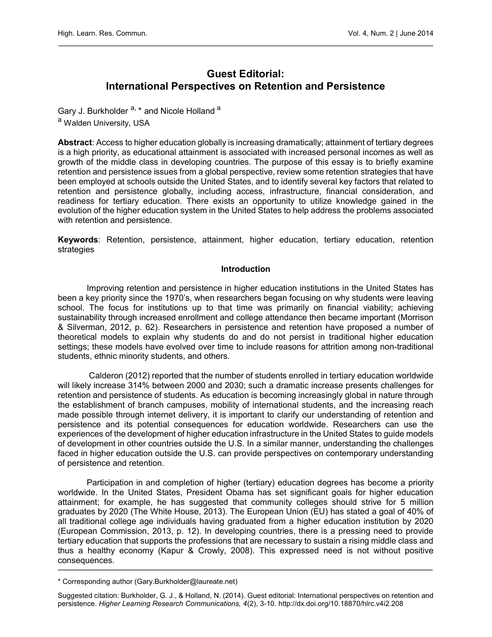# Guest Editorial: International Perspectives on Retention and Persistence

Gary J. Burkholder <sup>a, \*</sup> and Nicole Holland <sup>a</sup> a Walden University, USA

Abstract: Access to higher education globally is increasing dramatically; attainment of tertiary degrees is a high priority, as educational attainment is associated with increased personal incomes as well as growth of the middle class in developing countries. The purpose of this essay is to briefly examine retention and persistence issues from a global perspective, review some retention strategies that have been employed at schools outside the United States, and to identify several key factors that related to retention and persistence globally, including access, infrastructure, financial consideration, and readiness for tertiary education. There exists an opportunity to utilize knowledge gained in the evolution of the higher education system in the United States to help address the problems associated with retention and persistence.

Keywords: Retention, persistence, attainment, higher education, tertiary education, retention strategies

#### Introduction

Improving retention and persistence in higher education institutions in the United States has been a key priority since the 1970's, when researchers began focusing on why students were leaving school. The focus for institutions up to that time was primarily on financial viability; achieving sustainability through increased enrollment and college attendance then became important (Morrison & Silverman, 2012, p. 62). Researchers in persistence and retention have proposed a number of theoretical models to explain why students do and do not persist in traditional higher education settings; these models have evolved over time to include reasons for attrition among non-traditional students, ethnic minority students, and others.

 Calderon (2012) reported that the number of students enrolled in tertiary education worldwide will likely increase 314% between 2000 and 2030; such a dramatic increase presents challenges for retention and persistence of students. As education is becoming increasingly global in nature through the establishment of branch campuses, mobility of international students, and the increasing reach made possible through internet delivery, it is important to clarify our understanding of retention and persistence and its potential consequences for education worldwide. Researchers can use the experiences of the development of higher education infrastructure in the United States to guide models of development in other countries outside the U.S. In a similar manner, understanding the challenges faced in higher education outside the U.S. can provide perspectives on contemporary understanding of persistence and retention.

Participation in and completion of higher (tertiary) education degrees has become a priority worldwide. In the United States, President Obama has set significant goals for higher education attainment; for example, he has suggested that community colleges should strive for 5 million graduates by 2020 (The White House, 2013). The European Union (EU) has stated a goal of 40% of all traditional college age individuals having graduated from a higher education institution by 2020 (European Commission, 2013, p. 12). In developing countries, there is a pressing need to provide tertiary education that supports the professions that are necessary to sustain a rising middle class and thus a healthy economy (Kapur & Crowly, 2008). This expressed need is not without positive consequences.

<sup>\*</sup> Corresponding author (Gary.Burkholder@laureate.net)

Suggested citation: Burkholder, G. J., & Holland, N. (2014). Guest editorial: International perspectives on retention and persistence. Higher Learning Research Communications, 4(2), 3-10.<http://dx.doi.org/10.18870/hlrc.v4i2.208>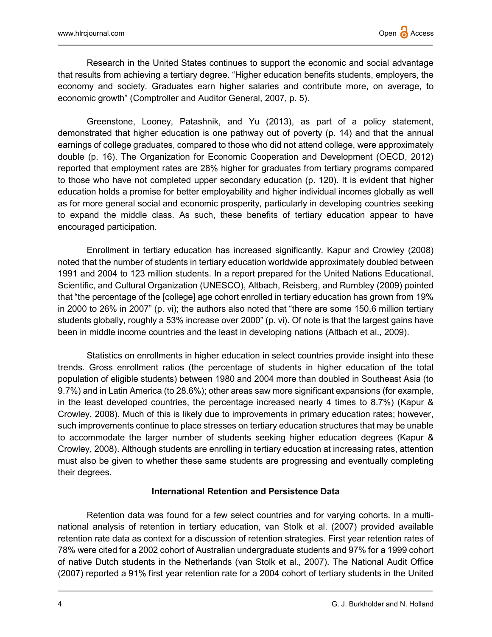Research in the United States continues to support the economic and social advantage that results from achieving a tertiary degree. "Higher education benefits students, employers, the economy and society. Graduates earn higher salaries and contribute more, on average, to economic growth" (Comptroller and Auditor General, 2007, p. 5).

Greenstone, Looney, Patashnik, and Yu (2013), as part of a policy statement, demonstrated that higher education is one pathway out of poverty (p. 14) and that the annual earnings of college graduates, compared to those who did not attend college, were approximately double (p. 16). The Organization for Economic Cooperation and Development (OECD, 2012) reported that employment rates are 28% higher for graduates from tertiary programs compared to those who have not completed upper secondary education (p. 120). It is evident that higher education holds a promise for better employability and higher individual incomes globally as well as for more general social and economic prosperity, particularly in developing countries seeking to expand the middle class. As such, these benefits of tertiary education appear to have encouraged participation.

Enrollment in tertiary education has increased significantly. Kapur and Crowley (2008) noted that the number of students in tertiary education worldwide approximately doubled between 1991 and 2004 to 123 million students. In a report prepared for the United Nations Educational, Scientific, and Cultural Organization (UNESCO), Altbach, Reisberg, and Rumbley (2009) pointed that "the percentage of the [college] age cohort enrolled in tertiary education has grown from 19% in 2000 to 26% in 2007" (p. vi); the authors also noted that "there are some 150.6 million tertiary students globally, roughly a 53% increase over 2000" (p. vi). Of note is that the largest gains have been in middle income countries and the least in developing nations (Altbach et al., 2009).

Statistics on enrollments in higher education in select countries provide insight into these trends. Gross enrollment ratios (the percentage of students in higher education of the total population of eligible students) between 1980 and 2004 more than doubled in Southeast Asia (to 9.7%) and in Latin America (to 28.6%); other areas saw more significant expansions (for example, in the least developed countries, the percentage increased nearly 4 times to 8.7%) (Kapur & Crowley, 2008). Much of this is likely due to improvements in primary education rates; however, such improvements continue to place stresses on tertiary education structures that may be unable to accommodate the larger number of students seeking higher education degrees (Kapur & Crowley, 2008). Although students are enrolling in tertiary education at increasing rates, attention must also be given to whether these same students are progressing and eventually completing their degrees.

# International Retention and Persistence Data

Retention data was found for a few select countries and for varying cohorts. In a multinational analysis of retention in tertiary education, van Stolk et al. (2007) provided available retention rate data as context for a discussion of retention strategies. First year retention rates of 78% were cited for a 2002 cohort of Australian undergraduate students and 97% for a 1999 cohort of native Dutch students in the Netherlands (van Stolk et al., 2007). The National Audit Office (2007) reported a 91% first year retention rate for a 2004 cohort of tertiary students in the United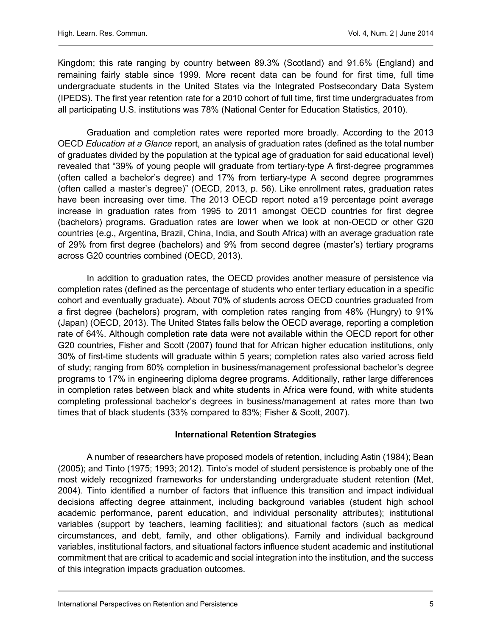Kingdom; this rate ranging by country between 89.3% (Scotland) and 91.6% (England) and remaining fairly stable since 1999. More recent data can be found for first time, full time undergraduate students in the United States via the Integrated Postsecondary Data System (IPEDS). The first year retention rate for a 2010 cohort of full time, first time undergraduates from all participating U.S. institutions was 78% (National Center for Education Statistics, 2010).

Graduation and completion rates were reported more broadly. According to the 2013 OECD Education at a Glance report, an analysis of graduation rates (defined as the total number of graduates divided by the population at the typical age of graduation for said educational level) revealed that "39% of young people will graduate from tertiary-type A first-degree programmes (often called a bachelor's degree) and 17% from tertiary-type A second degree programmes (often called a master's degree)" (OECD, 2013, p. 56). Like enrollment rates, graduation rates have been increasing over time. The 2013 OECD report noted a19 percentage point average increase in graduation rates from 1995 to 2011 amongst OECD countries for first degree (bachelors) programs. Graduation rates are lower when we look at non-OECD or other G20 countries (e.g., Argentina, Brazil, China, India, and South Africa) with an average graduation rate of 29% from first degree (bachelors) and 9% from second degree (master's) tertiary programs across G20 countries combined (OECD, 2013).

In addition to graduation rates, the OECD provides another measure of persistence via completion rates (defined as the percentage of students who enter tertiary education in a specific cohort and eventually graduate). About 70% of students across OECD countries graduated from a first degree (bachelors) program, with completion rates ranging from 48% (Hungry) to 91% (Japan) (OECD, 2013). The United States falls below the OECD average, reporting a completion rate of 64%. Although completion rate data were not available within the OECD report for other G20 countries, Fisher and Scott (2007) found that for African higher education institutions, only 30% of first-time students will graduate within 5 years; completion rates also varied across field of study; ranging from 60% completion in business/management professional bachelor's degree programs to 17% in engineering diploma degree programs. Additionally, rather large differences in completion rates between black and white students in Africa were found, with white students completing professional bachelor's degrees in business/management at rates more than two times that of black students (33% compared to 83%; Fisher & Scott, 2007).

### International Retention Strategies

 A number of researchers have proposed models of retention, including Astin (1984); Bean (2005); and Tinto (1975; 1993; 2012). Tinto's model of student persistence is probably one of the most widely recognized frameworks for understanding undergraduate student retention (Met, 2004). Tinto identified a number of factors that influence this transition and impact individual decisions affecting degree attainment, including background variables (student high school academic performance, parent education, and individual personality attributes); institutional variables (support by teachers, learning facilities); and situational factors (such as medical circumstances, and debt, family, and other obligations). Family and individual background variables, institutional factors, and situational factors influence student academic and institutional commitment that are critical to academic and social integration into the institution, and the success of this integration impacts graduation outcomes.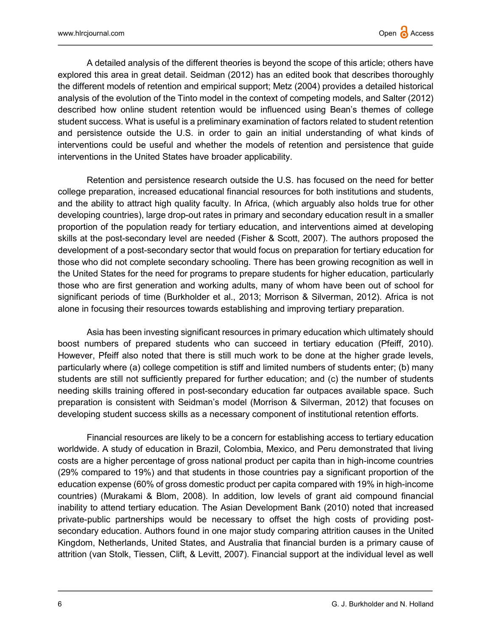A detailed analysis of the different theories is beyond the scope of this article; others have explored this area in great detail. Seidman (2012) has an edited book that describes thoroughly the different models of retention and empirical support; Metz (2004) provides a detailed historical analysis of the evolution of the Tinto model in the context of competing models, and Salter (2012) described how online student retention would be influenced using Bean's themes of college student success. What is useful is a preliminary examination of factors related to student retention and persistence outside the U.S. in order to gain an initial understanding of what kinds of interventions could be useful and whether the models of retention and persistence that guide interventions in the United States have broader applicability.

 Retention and persistence research outside the U.S. has focused on the need for better college preparation, increased educational financial resources for both institutions and students, and the ability to attract high quality faculty. In Africa, (which arguably also holds true for other developing countries), large drop-out rates in primary and secondary education result in a smaller proportion of the population ready for tertiary education, and interventions aimed at developing skills at the post-secondary level are needed (Fisher & Scott, 2007). The authors proposed the development of a post-secondary sector that would focus on preparation for tertiary education for those who did not complete secondary schooling. There has been growing recognition as well in the United States for the need for programs to prepare students for higher education, particularly those who are first generation and working adults, many of whom have been out of school for significant periods of time (Burkholder et al., 2013; Morrison & Silverman, 2012). Africa is not alone in focusing their resources towards establishing and improving tertiary preparation.

Asia has been investing significant resources in primary education which ultimately should boost numbers of prepared students who can succeed in tertiary education (Pfeiff, 2010). However, Pfeiff also noted that there is still much work to be done at the higher grade levels, particularly where (a) college competition is stiff and limited numbers of students enter; (b) many students are still not sufficiently prepared for further education; and (c) the number of students needing skills training offered in post-secondary education far outpaces available space. Such preparation is consistent with Seidman's model (Morrison & Silverman, 2012) that focuses on developing student success skills as a necessary component of institutional retention efforts.

Financial resources are likely to be a concern for establishing access to tertiary education worldwide. A study of education in Brazil, Colombia, Mexico, and Peru demonstrated that living costs are a higher percentage of gross national product per capita than in high-income countries (29% compared to 19%) and that students in those countries pay a significant proportion of the education expense (60% of gross domestic product per capita compared with 19% in high-income countries) (Murakami & Blom, 2008). In addition, low levels of grant aid compound financial inability to attend tertiary education. The Asian Development Bank (2010) noted that increased private-public partnerships would be necessary to offset the high costs of providing postsecondary education. Authors found in one major study comparing attrition causes in the United Kingdom, Netherlands, United States, and Australia that financial burden is a primary cause of attrition (van Stolk, Tiessen, Clift, & Levitt, 2007). Financial support at the individual level as well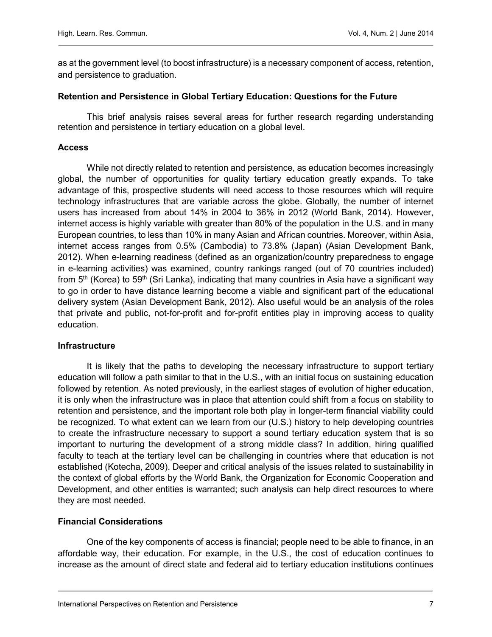as at the government level (to boost infrastructure) is a necessary component of access, retention, and persistence to graduation.

### Retention and Persistence in Global Tertiary Education: Questions for the Future

 This brief analysis raises several areas for further research regarding understanding retention and persistence in tertiary education on a global level.

### **Access**

While not directly related to retention and persistence, as education becomes increasingly global, the number of opportunities for quality tertiary education greatly expands. To take advantage of this, prospective students will need access to those resources which will require technology infrastructures that are variable across the globe. Globally, the number of internet users has increased from about 14% in 2004 to 36% in 2012 (World Bank, 2014). However, internet access is highly variable with greater than 80% of the population in the U.S. and in many European countries, to less than 10% in many Asian and African countries. Moreover, within Asia, internet access ranges from 0.5% (Cambodia) to 73.8% (Japan) (Asian Development Bank, 2012). When e-learning readiness (defined as an organization/country preparedness to engage in e-learning activities) was examined, country rankings ranged (out of 70 countries included) from  $5<sup>th</sup>$  (Korea) to  $59<sup>th</sup>$  (Sri Lanka), indicating that many countries in Asia have a significant way to go in order to have distance learning become a viable and significant part of the educational delivery system (Asian Development Bank, 2012). Also useful would be an analysis of the roles that private and public, not-for-profit and for-profit entities play in improving access to quality education.

# Infrastructure

It is likely that the paths to developing the necessary infrastructure to support tertiary education will follow a path similar to that in the U.S., with an initial focus on sustaining education followed by retention. As noted previously, in the earliest stages of evolution of higher education, it is only when the infrastructure was in place that attention could shift from a focus on stability to retention and persistence, and the important role both play in longer-term financial viability could be recognized. To what extent can we learn from our (U.S.) history to help developing countries to create the infrastructure necessary to support a sound tertiary education system that is so important to nurturing the development of a strong middle class? In addition, hiring qualified faculty to teach at the tertiary level can be challenging in countries where that education is not established (Kotecha, 2009). Deeper and critical analysis of the issues related to sustainability in the context of global efforts by the World Bank, the Organization for Economic Cooperation and Development, and other entities is warranted; such analysis can help direct resources to where they are most needed.

# Financial Considerations

One of the key components of access is financial; people need to be able to finance, in an affordable way, their education. For example, in the U.S., the cost of education continues to increase as the amount of direct state and federal aid to tertiary education institutions continues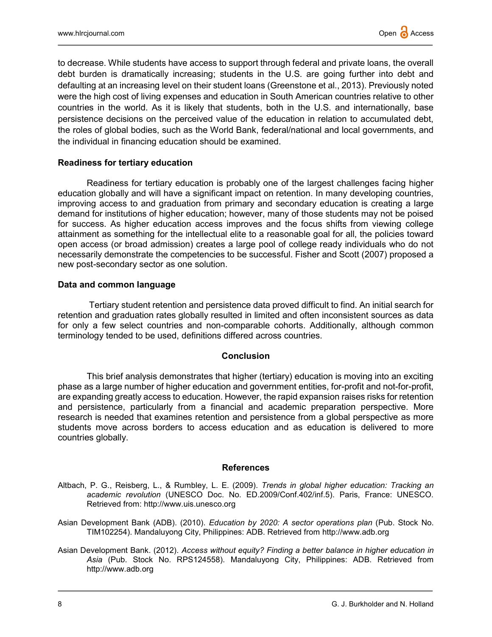to decrease. While students have access to support through federal and private loans, the overall debt burden is dramatically increasing; students in the U.S. are going further into debt and defaulting at an increasing level on their student loans (Greenstone et al., 2013). Previously noted were the high cost of living expenses and education in South American countries relative to other countries in the world. As it is likely that students, both in the U.S. and internationally, base persistence decisions on the perceived value of the education in relation to accumulated debt, the roles of global bodies, such as the World Bank, federal/national and local governments, and the individual in financing education should be examined.

### Readiness for tertiary education

 Readiness for tertiary education is probably one of the largest challenges facing higher education globally and will have a significant impact on retention. In many developing countries, improving access to and graduation from primary and secondary education is creating a large demand for institutions of higher education; however, many of those students may not be poised for success. As higher education access improves and the focus shifts from viewing college attainment as something for the intellectual elite to a reasonable goal for all, the policies toward open access (or broad admission) creates a large pool of college ready individuals who do not necessarily demonstrate the competencies to be successful. Fisher and Scott (2007) proposed a new post-secondary sector as one solution.

### Data and common language

 Tertiary student retention and persistence data proved difficult to find. An initial search for retention and graduation rates globally resulted in limited and often inconsistent sources as data for only a few select countries and non-comparable cohorts. Additionally, although common terminology tended to be used, definitions differed across countries.

#### **Conclusion**

This brief analysis demonstrates that higher (tertiary) education is moving into an exciting phase as a large number of higher education and government entities, for-profit and not-for-profit, are expanding greatly access to education. However, the rapid expansion raises risks for retention and persistence, particularly from a financial and academic preparation perspective. More research is needed that examines retention and persistence from a global perspective as more students move across borders to access education and as education is delivered to more countries globally.

#### References

- Altbach, P. G., Reisberg, L., & Rumbley, L. E. (2009). Trends in global higher education: Tracking an academic revolution (UNESCO Doc. No. ED.2009/Conf.402/inf.5). Paris, France: UNESCO. Retrieved from: http://www.uis.unesco.org
- Asian Development Bank (ADB). (2010). Education by 2020: A sector operations plan (Pub. Stock No. TIM102254). Mandaluyong City, Philippines: ADB. Retrieved from http://www.adb.org
- Asian Development Bank. (2012). Access without equity? Finding a better balance in higher education in Asia (Pub. Stock No. RPS124558). Mandaluyong City, Philippines: ADB. Retrieved from http://www.adb.org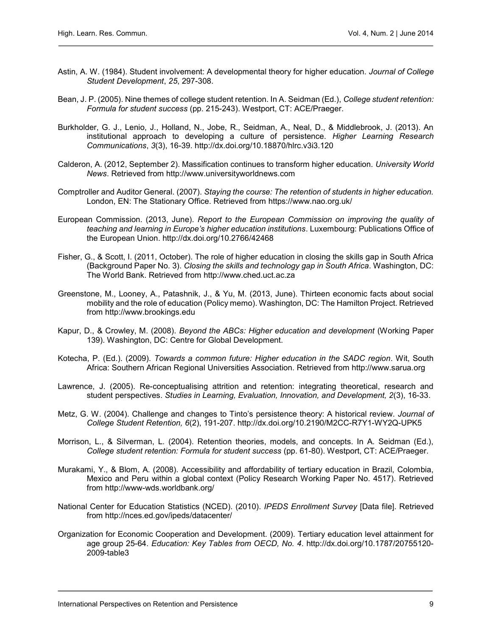- Astin, A. W. (1984). Student involvement: A developmental theory for higher education. Journal of College Student Development, 25, 297-308.
- Bean, J. P. (2005). Nine themes of college student retention. In A. Seidman (Ed.), College student retention: Formula for student success (pp. 215-243). Westport, CT: ACE/Praeger.
- Burkholder, G. J., Lenio, J., Holland, N., Jobe, R., Seidman, A., Neal, D., & Middlebrook, J. (2013). An institutional approach to developing a culture of persistence. Higher Learning Research Communications, 3(3), 16-39. http://dx.doi.org/10.18870/hlrc.v3i3.120
- Calderon, A. (2012, September 2). Massification continues to transform higher education. University World News. Retrieved from http://www.universityworldnews.com
- Comptroller and Auditor General. (2007). Staying the course: The retention of students in higher education. London, EN: The Stationary Office. Retrieved from https://www.nao.org.uk/
- European Commission. (2013, June). Report to the European Commission on improving the quality of teaching and learning in Europe's higher education institutions. Luxembourg: Publications Office of the European Union. http://dx.doi.org/10.2766/42468
- Fisher, G., & Scott, I. (2011, October). The role of higher education in closing the skills gap in South Africa (Background Paper No. 3). Closing the skills and technology gap in South Africa. Washington, DC: The World Bank. Retrieved from http://www.ched.uct.ac.za
- Greenstone, M., Looney, A., Patashnik, J., & Yu, M. (2013, June). Thirteen economic facts about social mobility and the role of education (Policy memo). Washington, DC: The Hamilton Project. Retrieved from http://www.brookings.edu
- Kapur, D., & Crowley, M. (2008). Beyond the ABCs: Higher education and development (Working Paper 139). Washington, DC: Centre for Global Development.
- Kotecha, P. (Ed.). (2009). Towards a common future: Higher education in the SADC region. Wit, South Africa: Southern African Regional Universities Association. Retrieved from http://www.sarua.org
- Lawrence, J. (2005). Re-conceptualising attrition and retention: integrating theoretical, research and student perspectives. Studies in Learning, Evaluation, Innovation, and Development, 2(3), 16-33.
- Metz, G. W. (2004). Challenge and changes to Tinto's persistence theory: A historical review. Journal of College Student Retention, 6(2), 191-207. http://dx.doi.org/10.2190/M2CC-R7Y1-WY2Q-UPK5
- Morrison, L., & Silverman, L. (2004). Retention theories, models, and concepts. In A. Seidman (Ed.), College student retention: Formula for student success (pp. 61-80). Westport, CT: ACE/Praeger.
- Murakami, Y., & Blom, A. (2008). Accessibility and affordability of tertiary education in Brazil, Colombia, Mexico and Peru within a global context (Policy Research Working Paper No. 4517). Retrieved from http://www-wds.worldbank.org/
- National Center for Education Statistics (NCED). (2010). IPEDS Enrollment Survey [Data file]. Retrieved from http://nces.ed.gov/ipeds/datacenter/
- Organization for Economic Cooperation and Development. (2009). Tertiary education level attainment for age group 25-64. Education: Key Tables from OECD, No. 4. http://dx.doi.org/10.1787/20755120- 2009-table3